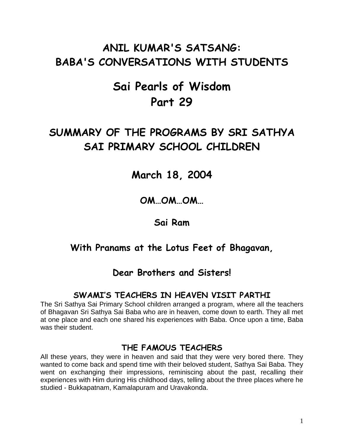# **ANIL KUMAR'S SATSANG: BABA'S CONVERSATIONS WITH STUDENTS**

# **Sai Pearls of Wisdom Part 29**

# **SUMMARY OF THE PROGRAMS BY SRI SATHYA SAI PRIMARY SCHOOL CHILDREN**

# **March 18, 2004**

## **OM…OM…OM…**

## **Sai Ram**

## **With Pranams at the Lotus Feet of Bhagavan,**

## **Dear Brothers and Sisters!**

## **SWAMI'S TEACHERS IN HEAVEN VISIT PARTHI**

The Sri Sathya Sai Primary School children arranged a program, where all the teachers of Bhagavan Sri Sathya Sai Baba who are in heaven, come down to earth. They all met at one place and each one shared his experiences with Baba. Once upon a time, Baba was their student.

### **THE FAMOUS TEACHERS**

All these years, they were in heaven and said that they were very bored there. They wanted to come back and spend time with their beloved student, Sathya Sai Baba. They went on exchanging their impressions, reminiscing about the past, recalling their experiences with Him during His childhood days, telling about the three places where he studied - Bukkapatnam, Kamalapuram and Uravakonda.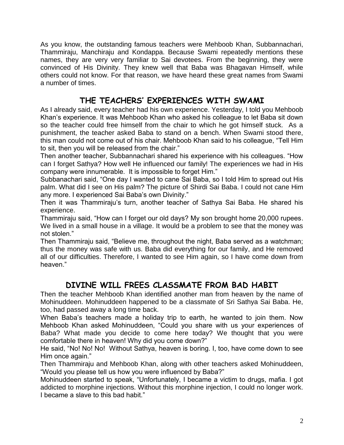As you know, the outstanding famous teachers were Mehboob Khan, Subbannachari, Thammiraju, Manchiraju and Kondappa. Because Swami repeatedly mentions these names, they are very very familiar to Sai devotees. From the beginning, they were convinced of His Divinity. They knew well that Baba was Bhagavan Himself, while others could not know. For that reason, we have heard these great names from Swami a number of times.

### **THE TEACHERS' EXPERIENCES WITH SWAMI**

As I already said, every teacher had his own experience. Yesterday, I told you Mehboob Khan"s experience. It was Mehboob Khan who asked his colleague to let Baba sit down so the teacher could free himself from the chair to which he got himself stuck. As a punishment, the teacher asked Baba to stand on a bench. When Swami stood there, this man could not come out of his chair. Mehboob Khan said to his colleague, "Tell Him to sit, then you will be released from the chair."

Then another teacher, Subbannachari shared his experience with his colleagues. "How can I forget Sathya? How well He influenced our family! The experiences we had in His company were innumerable. It is impossible to forget Him."

Subbanachari said, "One day I wanted to cane Sai Baba, so I told Him to spread out His palm. What did I see on His palm? The picture of Shirdi Sai Baba. I could not cane Him any more. I experienced Sai Baba's own Divinity."

Then it was Thammiraju"s turn, another teacher of Sathya Sai Baba. He shared his experience.

Thammiraju said, "How can I forget our old days? My son brought home 20,000 rupees. We lived in a small house in a village. It would be a problem to see that the money was not stolen."

Then Thammiraju said, "Believe me, throughout the night, Baba served as a watchman; thus the money was safe with us. Baba did everything for our family, and He removed all of our difficulties. Therefore, I wanted to see Him again, so I have come down from heaven."

## **DIVINE WILL FREES CLASSMATE FROM BAD HABIT**

Then the teacher Mehboob Khan identified another man from heaven by the name of Mohinuddeen. Mohinuddeen happened to be a classmate of Sri Sathya Sai Baba. He, too, had passed away a long time back.

When Baba"s teachers made a holiday trip to earth, he wanted to join them. Now Mehboob Khan asked Mohinuddeen, "Could you share with us your experiences of Baba? What made you decide to come here today? We thought that you were comfortable there in heaven! Why did you come down?"

He said, "No! No! No! Without Sathya, heaven is boring. I, too, have come down to see Him once again."

Then Thammiraju and Mehboob Khan, along with other teachers asked Mohinuddeen, "Would you please tell us how you were influenced by Baba?"

Mohinuddeen started to speak, "Unfortunately, I became a victim to drugs, mafia. I got addicted to morphine injections. Without this morphine injection, I could no longer work. I became a slave to this bad habit."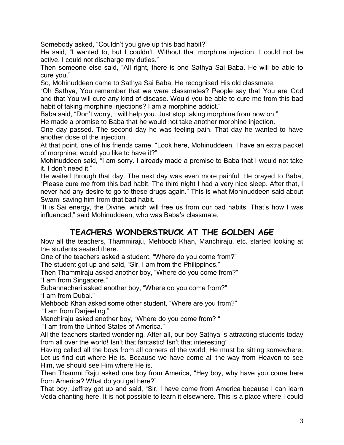Somebody asked, "Couldn"t you give up this bad habit?"

He said, "I wanted to, but I couldn"t. Without that morphine injection, I could not be active. I could not discharge my duties."

Then someone else said, "All right, there is one Sathya Sai Baba. He will be able to cure you."

So, Mohinuddeen came to Sathya Sai Baba. He recognised His old classmate.

"Oh Sathya, You remember that we were classmates? People say that You are God and that You will cure any kind of disease. Would you be able to cure me from this bad habit of taking morphine injections? I am a morphine addict."

Baba said, "Don't worry, I will help you. Just stop taking morphine from now on."

He made a promise to Baba that he would not take another morphine injection.

One day passed. The second day he was feeling pain. That day he wanted to have another dose of the injection.

At that point, one of his friends came. "Look here, Mohinuddeen, I have an extra packet of morphine; would you like to have it?"

Mohinuddeen said, "I am sorry. I already made a promise to Baba that I would not take it. I don"t need it."

He waited through that day. The next day was even more painful. He prayed to Baba, "Please cure me from this bad habit. The third night I had a very nice sleep. After that, I never had any desire to go to these drugs again." This is what Mohinuddeen said about Swami saving him from that bad habit.

"It is Sai energy, the Divine, which will free us from our bad habits. That"s how I was influenced," said Mohinuddeen, who was Baba's classmate.

## **TEACHERS WONDERSTRUCK AT THE GOLDEN AGE**

Now all the teachers, Thammiraju, Mehboob Khan, Manchiraju, etc. started looking at the students seated there.

One of the teachers asked a student, "Where do you come from?"

The student got up and said, "Sir, I am from the Philippines."

Then Thammiraju asked another boy, "Where do you come from?" "I am from Singapore."

Subannachari asked another boy, "Where do you come from?" "I am from Dubai."

Mehboob Khan asked some other student, "Where are you from?" "I am from Darjeeling."

Manchiraju asked another boy, "Where do you come from? "

"I am from the United States of America."

All the teachers started wondering. After all, our boy Sathya is attracting students today from all over the world! Isn't that fantastic! Isn't that interesting!

Having called all the boys from all corners of the world, He must be sitting somewhere. Let us find out where He is. Because we have come all the way from Heaven to see Him, we should see Him where He is.

Then Thammi Raju asked one boy from America, "Hey boy, why have you come here from America? What do you get here?"

That boy, Jeffrey got up and said, "Sir, I have come from America because I can learn Veda chanting here. It is not possible to learn it elsewhere. This is a place where I could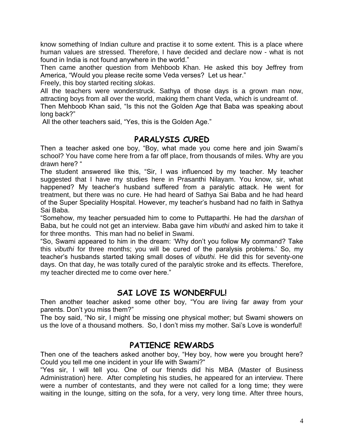know something of Indian culture and practise it to some extent. This is a place where human values are stressed. Therefore, I have decided and declare now - what is not found in India is not found anywhere in the world."

Then came another question from Mehboob Khan. He asked this boy Jeffrey from America, "Would you please recite some Veda verses? Let us hear."

Freely, this boy started reciting *slokas*.

All the teachers were wonderstruck. Sathya of those days is a grown man now, attracting boys from all over the world, making them chant Veda, which is undreamt of.

Then Mehboob Khan said, "Is this not the Golden Age that Baba was speaking about long back?"

All the other teachers said, "Yes, this is the Golden Age."

#### **PARALYSIS CURED**

Then a teacher asked one boy, "Boy, what made you come here and join Swami"s school? You have come here from a far off place, from thousands of miles. Why are you drawn here? "

The student answered like this, "Sir, I was influenced by my teacher. My teacher suggested that I have my studies here in Prasanthi Nilayam. You know, sir, what happened? My teacher's husband suffered from a paralytic attack. He went for treatment, but there was no cure. He had heard of Sathya Sai Baba and he had heard of the Super Speciality Hospital. However, my teacher"s husband had no faith in Sathya Sai Baba.

"Somehow, my teacher persuaded him to come to Puttaparthi. He had the *darshan* of Baba, but he could not get an interview. Baba gave him *vibuthi* and asked him to take it for three months. This man had no belief in Swami.

"So, Swami appeared to him in the dream: "Why don"t you follow My command? Take this *vibuthi* for three months; you will be cured of the paralysis problems." So, my teacher"s husbands started taking small doses of *vibuthi.* He did this for seventy-one days. On that day, he was totally cured of the paralytic stroke and its effects. Therefore, my teacher directed me to come over here."

#### **SAI LOVE IS WONDERFUL!**

Then another teacher asked some other boy, "You are living far away from your parents. Don"t you miss them?"

The boy said, "No sir, I might be missing one physical mother; but Swami showers on us the love of a thousand mothers. So, I don"t miss my mother. Sai"s Love is wonderful!

#### **PATIENCE REWARDS**

Then one of the teachers asked another boy, "Hey boy, how were you brought here? Could you tell me one incident in your life with Swami?"

"Yes sir, I will tell you. One of our friends did his MBA (Master of Business Administration) here. After completing his studies, he appeared for an interview. There were a number of contestants, and they were not called for a long time; they were waiting in the lounge, sitting on the sofa, for a very, very long time. After three hours,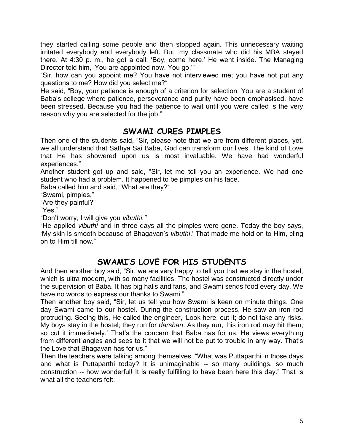they started calling some people and then stopped again. This unnecessary waiting irritated everybody and everybody left. But, my classmate who did his MBA stayed there. At 4:30 p. m., he got a call, "Boy, come here." He went inside. The Managing Director told him, "You are appointed now. You go.""

"Sir, how can you appoint me? You have not interviewed me; you have not put any questions to me? How did you select me?"

He said, "Boy, your patience is enough of a criterion for selection. You are a student of Baba"s college where patience, perseverance and purity have been emphasised, have been stressed. Because you had the patience to wait until you were called is the very reason why you are selected for the job."

#### **SWAMI CURES PIMPLES**

Then one of the students said, "Sir, please note that we are from different places, yet, we all understand that Sathya Sai Baba, God can transform our lives. The kind of Love that He has showered upon us is most invaluable. We have had wonderful experiences."

Another student got up and said, "Sir, let me tell you an experience. We had one student who had a problem. It happened to be pimples on his face.

Baba called him and said, "What are they?"

"Swami, pimples."

"Are they painful?"

"Yes."

"Don"t worry, I will give you *vibuthi."*

"He applied *vibuthi* and in three days all the pimples were gone. Today the boy says, "My skin is smooth because of Bhagavan"s *vibuthi*." That made me hold on to Him, cling on to Him till now."

## **SWAMI'S LOVE FOR HIS STUDENTS**

And then another boy said, "Sir, we are very happy to tell you that we stay in the hostel, which is ultra modern, with so many facilities. The hostel was constructed directly under the supervision of Baba. It has big halls and fans, and Swami sends food every day. We have no words to express our thanks to Swami."

Then another boy said, "Sir, let us tell you how Swami is keen on minute things. One day Swami came to our hostel. During the construction process, He saw an iron rod protruding. Seeing this, He called the engineer, "Look here, cut it; do not take any risks. My boys stay in the hostel; they run for *darshan*. As they run, this iron rod may hit them; so cut it immediately.' That's the concern that Baba has for us. He views everything from different angles and sees to it that we will not be put to trouble in any way. That"s the Love that Bhagavan has for us."

Then the teachers were talking among themselves. "What was Puttaparthi in those days and what is Puttaparthi today? It is unimaginable -- so many buildings, so much construction -- how wonderful! It is really fulfilling to have been here this day." That is what all the teachers felt.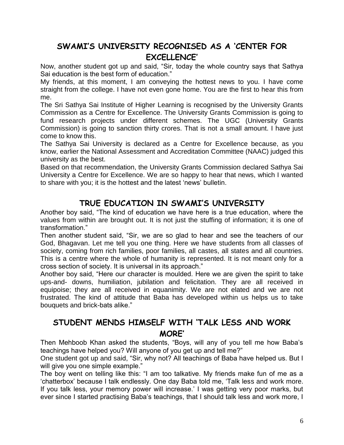## **SWAMI'S UNIVERSITY RECOGNISED AS A 'CENTER FOR EXCELLENCE'**

Now, another student got up and said, "Sir, today the whole country says that Sathya Sai education is the best form of education."

My friends, at this moment, I am conveying the hottest news to you. I have come straight from the college. I have not even gone home. You are the first to hear this from me.

The Sri Sathya Sai Institute of Higher Learning is recognised by the University Grants Commission as a Centre for Excellence. The University Grants Commission is going to fund research projects under different schemes. The UGC (University Grants Commission) is going to sanction thirty crores. That is not a small amount. I have just come to know this.

The Sathya Sai University is declared as a Centre for Excellence because, as you know, earlier the National Assessment and Accreditation Committee (NAAC) judged this university as the best.

Based on that recommendation, the University Grants Commission declared Sathya Sai University a Centre for Excellence. We are so happy to hear that news, which I wanted to share with you; it is the hottest and the latest "news" bulletin.

### **TRUE EDUCATION IN SWAMI'S UNIVERSITY**

Another boy said, "The kind of education we have here is a true education, where the values from within are brought out. It is not just the stuffing of information; it is one of transformation."

Then another student said, "Sir, we are so glad to hear and see the teachers of our God, Bhagavan. Let me tell you one thing. Here we have students from all classes of society, coming from rich families, poor families, all castes, all states and all countries. This is a centre where the whole of humanity is represented. It is not meant only for a cross section of society. It is universal in its approach."

Another boy said, "Here our character is moulded. Here we are given the spirit to take ups-and- downs, humiliation, jubilation and felicitation. They are all received in equipoise; they are all received in equanimity. We are not elated and we are not frustrated. The kind of attitude that Baba has developed within us helps us to take bouquets and brick-bats alike."

## **STUDENT MENDS HIMSELF WITH 'TALK LESS AND WORK MORE'**

Then Mehboob Khan asked the students, "Boys, will any of you tell me how Baba"s teachings have helped you? Will anyone of you get up and tell me?"

One student got up and said, "Sir, why not? All teachings of Baba have helped us. But I will give you one simple example."

The boy went on telling like this: "I am too talkative. My friends make fun of me as a "chatterbox" because I talk endlessly. One day Baba told me, "Talk less and work more. If you talk less, your memory power will increase.' I was getting very poor marks, but ever since I started practising Baba's teachings, that I should talk less and work more, I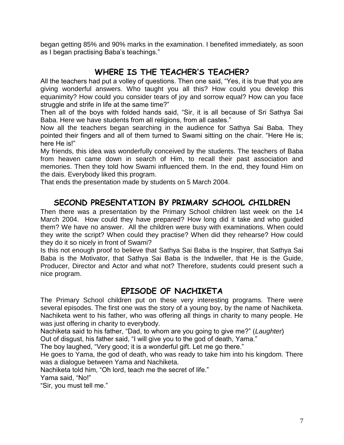began getting 85% and 90% marks in the examination. I benefited immediately, as soon as I began practising Baba's teachings."

#### **WHERE IS THE TEACHER'S TEACHER?**

All the teachers had put a volley of questions. Then one said, "Yes, it is true that you are giving wonderful answers. Who taught you all this? How could you develop this equanimity? How could you consider tears of joy and sorrow equal? How can you face struggle and strife in life at the same time?"

Then all of the boys with folded hands said, "Sir, it is all because of Sri Sathya Sai Baba. Here we have students from all religions, from all castes."

Now all the teachers began searching in the audience for Sathya Sai Baba. They pointed their fingers and all of them turned to Swami sitting on the chair. "Here He is; here He is!"

My friends, this idea was wonderfully conceived by the students. The teachers of Baba from heaven came down in search of Him, to recall their past association and memories. Then they told how Swami influenced them. In the end, they found Him on the dais. Everybody liked this program.

That ends the presentation made by students on 5 March 2004.

#### **SECOND PRESENTATION BY PRIMARY SCHOOL CHILDREN**

Then there was a presentation by the Primary School children last week on the 14 March 2004. How could they have prepared? How long did it take and who guided them? We have no answer. All the children were busy with examinations. When could they write the script? When could they practise? When did they rehearse? How could they do it so nicely in front of Swami?

Is this not enough proof to believe that Sathya Sai Baba is the Inspirer, that Sathya Sai Baba is the Motivator, that Sathya Sai Baba is the Indweller, that He is the Guide, Producer, Director and Actor and what not? Therefore, students could present such a nice program.

#### **EPISODE OF NACHIKETA**

The Primary School children put on these very interesting programs. There were several episodes. The first one was the story of a young boy, by the name of Nachiketa. Nachiketa went to his father, who was offering all things in charity to many people. He was just offering in charity to everybody.

Nachiketa said to his father, "Dad, to whom are you going to give me?" (*Laughter*)

Out of disgust, his father said, "I will give you to the god of death, Yama."

The boy laughed, "Very good; it is a wonderful gift. Let me go there."

He goes to Yama, the god of death, who was ready to take him into his kingdom. There was a dialogue between Yama and Nachiketa.

Nachiketa told him, "Oh lord, teach me the secret of life."

Yama said, "No!"

"Sir, you must tell me."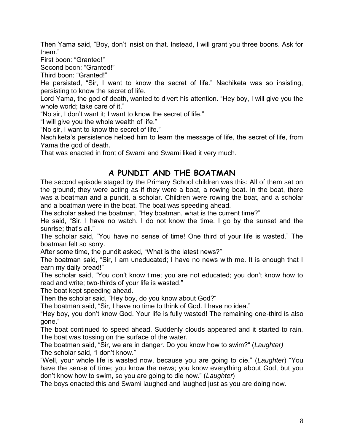Then Yama said, "Boy, don"t insist on that. Instead, I will grant you three boons. Ask for them."

First boon: "Granted!"

Second boon: "Granted!"

Third boon: "Granted!"

He persisted, "Sir, I want to know the secret of life." Nachiketa was so insisting, persisting to know the secret of life.

Lord Yama, the god of death, wanted to divert his attention. "Hey boy, I will give you the whole world; take care of it."

"No sir, I don"t want it; I want to know the secret of life."

"I will give you the whole wealth of life."

"No sir, I want to know the secret of life."

Nachiketa's persistence helped him to learn the message of life, the secret of life, from Yama the god of death.

That was enacted in front of Swami and Swami liked it very much.

#### **A PUNDIT AND THE BOATMAN**

The second episode staged by the Primary School children was this: All of them sat on the ground; they were acting as if they were a boat, a rowing boat. In the boat, there was a boatman and a pundit, a scholar. Children were rowing the boat, and a scholar and a boatman were in the boat. The boat was speeding ahead.

The scholar asked the boatman, "Hey boatman, what is the current time?"

He said, "Sir, I have no watch. I do not know the time. I go by the sunset and the sunrise; that's all."

The scholar said, "You have no sense of time! One third of your life is wasted." The boatman felt so sorry.

After some time, the pundit asked, "What is the latest news?"

The boatman said, "Sir, I am uneducated; I have no news with me. It is enough that I earn my daily bread!"

The scholar said, "You don"t know time; you are not educated; you don"t know how to read and write; two-thirds of your life is wasted."

The boat kept speeding ahead.

Then the scholar said, "Hey boy, do you know about God?"

The boatman said, "Sir, I have no time to think of God. I have no idea."

"Hey boy, you don"t know God. Your life is fully wasted! The remaining one-third is also gone."

The boat continued to speed ahead. Suddenly clouds appeared and it started to rain. The boat was tossing on the surface of the water.

The boatman said, "Sir, we are in danger. Do you know how to swim?" (*Laughter)* The scholar said, "I don't know."

"Well, your whole life is wasted now, because you are going to die." (*Laughter*) "You have the sense of time; you know the news; you know everything about God, but you don"t know how to swim, so you are going to die now." (*Laughter*)

The boys enacted this and Swami laughed and laughed just as you are doing now.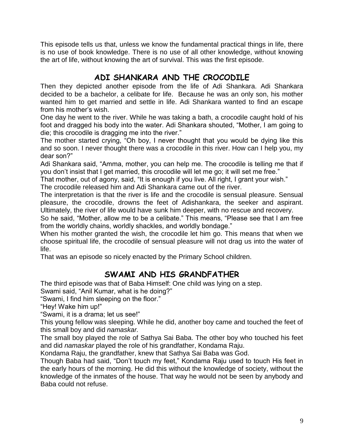This episode tells us that, unless we know the fundamental practical things in life, there is no use of book knowledge. There is no use of all other knowledge, without knowing the art of life, without knowing the art of survival. This was the first episode.

## **ADI SHANKARA AND THE CROCODILE**

Then they depicted another episode from the life of Adi Shankara. Adi Shankara decided to be a bachelor, a celibate for life. Because he was an only son, his mother wanted him to get married and settle in life. Adi Shankara wanted to find an escape from his mother"s wish.

One day he went to the river. While he was taking a bath, a crocodile caught hold of his foot and dragged his body into the water. Adi Shankara shouted, "Mother, I am going to die; this crocodile is dragging me into the river."

The mother started crying, "Oh boy, I never thought that you would be dying like this and so soon. I never thought there was a crocodile in this river. How can I help you, my dear son?"

Adi Shankara said, "Amma, mother, you can help me. The crocodile is telling me that if you don"t insist that I get married, this crocodile will let me go; it will set me free."

That mother, out of agony, said, "It is enough if you live. All right, I grant your wish."

The crocodile released him and Adi Shankara came out of the river.

The interpretation is that the river is life and the crocodile is sensual pleasure. Sensual pleasure, the crocodile, drowns the feet of Adishankara, the seeker and aspirant. Ultimately, the river of life would have sunk him deeper, with no rescue and recovery.

So he said, "Mother, allow me to be a celibate." This means, "Please see that I am free from the worldly chains, worldly shackles, and worldly bondage."

When his mother granted the wish, the crocodile let him go. This means that when we choose spiritual life, the crocodile of sensual pleasure will not drag us into the water of life.

That was an episode so nicely enacted by the Primary School children.

### **SWAMI AND HIS GRANDFATHER**

The third episode was that of Baba Himself: One child was lying on a step.

Swami said, "Anil Kumar, what is he doing?"

"Swami, I find him sleeping on the floor."

"Hey! Wake him up!"

"Swami, it is a drama; let us see!"

This young fellow was sleeping. While he did, another boy came and touched the feet of this small boy and did *namaskar.*

The small boy played the role of Sathya Sai Baba. The other boy who touched his feet and did *namaskar* played the role of his grandfather, Kondama Raju.

Kondama Raju, the grandfather, knew that Sathya Sai Baba was God.

Though Baba had said, "Don"t touch my feet," Kondama Raju used to touch His feet in the early hours of the morning. He did this without the knowledge of society, without the knowledge of the inmates of the house. That way he would not be seen by anybody and Baba could not refuse.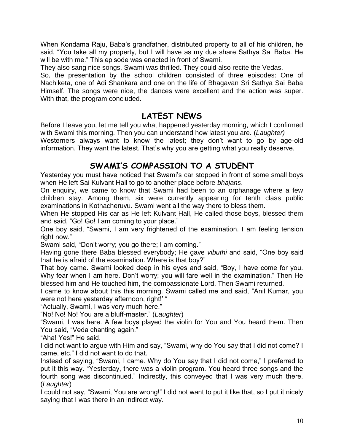When Kondama Raju, Baba"s grandfather, distributed property to all of his children, he said, "You take all my property, but I will have as my due share Sathya Sai Baba. He will be with me." This episode was enacted in front of Swami.

They also sang nice songs. Swami was thrilled. They could also recite the Vedas.

So, the presentation by the school children consisted of three episodes: One of Nachiketa, one of Adi Shankara and one on the life of Bhagavan Sri Sathya Sai Baba Himself. The songs were nice, the dances were excellent and the action was super. With that, the program concluded.

#### **LATEST NEWS**

Before I leave you, let me tell you what happened yesterday morning, which I confirmed with Swami this morning. Then you can understand how latest you are. (*Laughter)* Westerners always want to know the latest; they don't want to go by age-old information. They want the latest. That"s why you are getting what you really deserve.

### **SWAMI'S COMPASSION TO A STUDENT**

Yesterday you must have noticed that Swami"s car stopped in front of some small boys when He left Sai Kulvant Hall to go to another place before *bhajans*.

On enquiry, we came to know that Swami had been to an orphanage where a few children stay. Among them, six were currently appearing for tenth class public examinations in Kothacheruvu. Swami went all the way there to bless them.

When He stopped His car as He left Kulvant Hall, He called those boys, blessed them and said, "Go! Go! I am coming to your place."

One boy said, "Swami, I am very frightened of the examination. I am feeling tension right now."

Swami said, "Don"t worry; you go there; I am coming."

Having gone there Baba blessed everybody; He gave *vibuthi* and said, "One boy said that he is afraid of the examination. Where is that boy?"

That boy came. Swami looked deep in his eyes and said, "Boy, I have come for you. Why fear when I am here. Don"t worry; you will fare well in the examination." Then He blessed him and He touched him, the compassionate Lord. Then Swami returned.

I came to know about this this morning. Swami called me and said, "Anil Kumar, you were not here yesterday afternoon, right!' "

"Actually, Swami, I was very much here."

"No! No! No! You are a bluff-master." (*Laughter*)

"Swami, I was here. A few boys played the violin for You and You heard them. Then You said, "Veda chanting again."

"Aha! Yes!" He said.

I did not want to argue with Him and say, "Swami, why do You say that I did not come? I came, etc." I did not want to do that.

Instead of saying, "Swami, I came. Why do You say that I did not come," I preferred to put it this way. "Yesterday, there was a violin program. You heard three songs and the fourth song was discontinued." Indirectly, this conveyed that I was very much there. (*Laughter*)

I could not say, "Swami, You are wrong!" I did not want to put it like that, so I put it nicely saying that I was there in an indirect way.